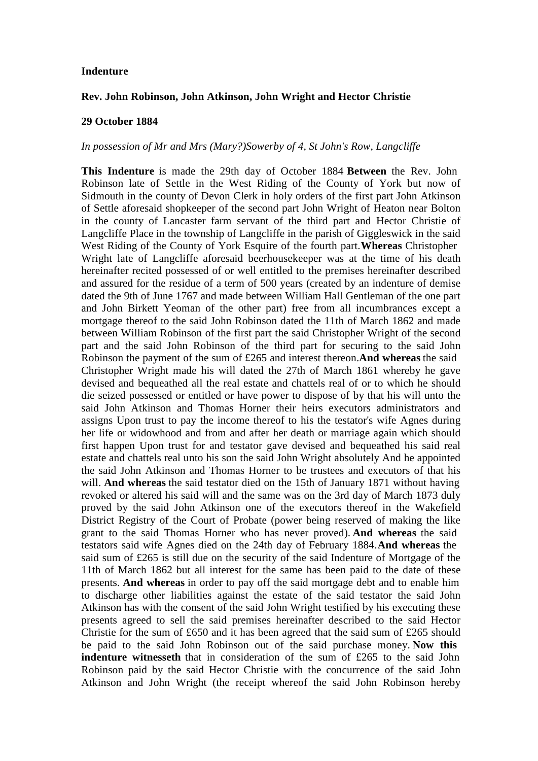## **Indenture**

## **Rev. John Robinson, John Atkinson, John Wright and Hector Christie**

## **29 October 1884**

## *In possession of Mr and Mrs (Mary?)Sowerby of 4, St John's Row, Langcliffe*

**This Indenture** is made the 29th day of October 1884 **Between** the Rev. John Robinson late of Settle in the West Riding of the County of York but now of Sidmouth in the county of Devon Clerk in holy orders of the first part John Atkinson of Settle aforesaid shopkeeper of the second part John Wright of Heaton near Bolton in the county of Lancaster farm servant of the third part and Hector Christie of Langcliffe Place in the township of Langcliffe in the parish of Giggleswick in the said West Riding of the County of York Esquire of the fourth part.**Whereas** Christopher Wright late of Langcliffe aforesaid beerhousekeeper was at the time of his death hereinafter recited possessed of or well entitled to the premises hereinafter described and assured for the residue of a term of 500 years (created by an indenture of demise dated the 9th of June 1767 and made between William Hall Gentleman of the one part and John Birkett Yeoman of the other part) free from all incumbrances except a mortgage thereof to the said John Robinson dated the 11th of March 1862 and made between William Robinson of the first part the said Christopher Wright of the second part and the said John Robinson of the third part for securing to the said John Robinson the payment of the sum of £265 and interest thereon.**And whereas** the said Christopher Wright made his will dated the 27th of March 1861 whereby he gave devised and bequeathed all the real estate and chattels real of or to which he should die seized possessed or entitled or have power to dispose of by that his will unto the said John Atkinson and Thomas Horner their heirs executors administrators and assigns Upon trust to pay the income thereof to his the testator's wife Agnes during her life or widowhood and from and after her death or marriage again which should first happen Upon trust for and testator gave devised and bequeathed his said real estate and chattels real unto his son the said John Wright absolutely And he appointed the said John Atkinson and Thomas Horner to be trustees and executors of that his will. **And whereas** the said testator died on the 15th of January 1871 without having revoked or altered his said will and the same was on the 3rd day of March 1873 duly proved by the said John Atkinson one of the executors thereof in the Wakefield District Registry of the Court of Probate (power being reserved of making the like grant to the said Thomas Horner who has never proved). **And whereas** the said testators said wife Agnes died on the 24th day of February 1884.**And whereas** the said sum of £265 is still due on the security of the said Indenture of Mortgage of the 11th of March 1862 but all interest for the same has been paid to the date of these presents. **And whereas** in order to pay off the said mortgage debt and to enable him to discharge other liabilities against the estate of the said testator the said John Atkinson has with the consent of the said John Wright testified by his executing these presents agreed to sell the said premises hereinafter described to the said Hector Christie for the sum of £650 and it has been agreed that the said sum of £265 should be paid to the said John Robinson out of the said purchase money. **Now this indenture witnesseth** that in consideration of the sum of £265 to the said John Robinson paid by the said Hector Christie with the concurrence of the said John Atkinson and John Wright (the receipt whereof the said John Robinson hereby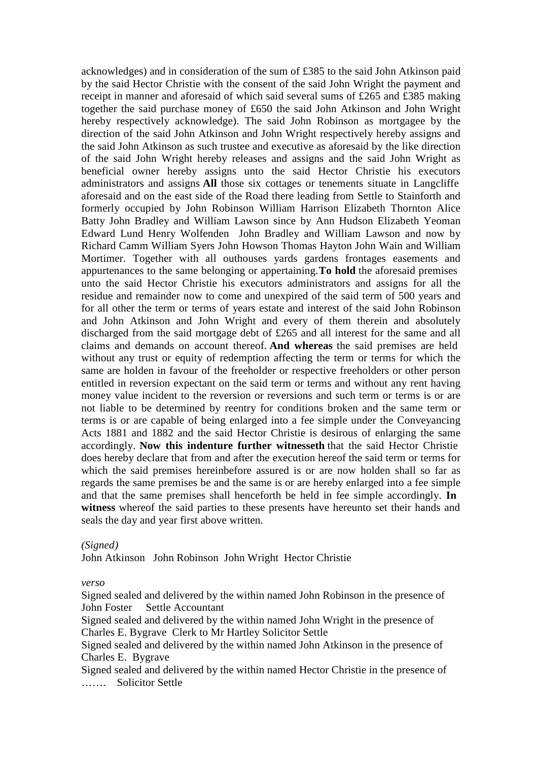acknowledges) and in consideration of the sum of £385 to the said John Atkinson paid by the said Hector Christie with the consent of the said John Wright the payment and receipt in manner and aforesaid of which said several sums of £265 and £385 making together the said purchase money of £650 the said John Atkinson and John Wright hereby respectively acknowledge). The said John Robinson as mortgagee by the direction of the said John Atkinson and John Wright respectively hereby assigns and the said John Atkinson as such trustee and executive as aforesaid by the like direction of the said John Wright hereby releases and assigns and the said John Wright as beneficial owner hereby assigns unto the said Hector Christie his executors administrators and assigns **All** those six cottages or tenements situate in Langcliffe aforesaid and on the east side of the Road there leading from Settle to Stainforth and formerly occupied by John Robinson William Harrison Elizabeth Thornton Alice Batty John Bradley and William Lawson since by Ann Hudson Elizabeth Yeoman Edward Lund Henry Wolfenden John Bradley and William Lawson and now by Richard Camm William Syers John Howson Thomas Hayton John Wain and William Mortimer. Together with all outhouses yards gardens frontages easements and appurtenances to the same belonging or appertaining.**To hold** the aforesaid premises unto the said Hector Christie his executors administrators and assigns for all the residue and remainder now to come and unexpired of the said term of 500 years and for all other the term or terms of years estate and interest of the said John Robinson and John Atkinson and John Wright and every of them therein and absolutely discharged from the said mortgage debt of £265 and all interest for the same and all claims and demands on account thereof. **And whereas** the said premises are held without any trust or equity of redemption affecting the term or terms for which the same are holden in favour of the freeholder or respective freeholders or other person entitled in reversion expectant on the said term or terms and without any rent having money value incident to the reversion or reversions and such term or terms is or are not liable to be determined by reentry for conditions broken and the same term or terms is or are capable of being enlarged into a fee simple under the Conveyancing Acts 1881 and 1882 and the said Hector Christie is desirous of enlarging the same accordingly. **Now this indenture further witnesseth** that the said Hector Christie does hereby declare that from and after the execution hereof the said term or terms for which the said premises hereinbefore assured is or are now holden shall so far as regards the same premises be and the same is or are hereby enlarged into a fee simple and that the same premises shall henceforth be held in fee simple accordingly. **In witness** whereof the said parties to these presents have hereunto set their hands and seals the day and year first above written.

*(Signed)*

John Atkinson John Robinson John Wright Hector Christie

*verso*

Signed sealed and delivered by the within named John Robinson in the presence of John Foster Settle Accountant

Signed sealed and delivered by the within named John Wright in the presence of Charles E. Bygrave Clerk to Mr Hartley Solicitor Settle

Signed sealed and delivered by the within named John Atkinson in the presence of Charles E. Bygrave

Signed sealed and delivered by the within named Hector Christie in the presence of ……. Solicitor Settle